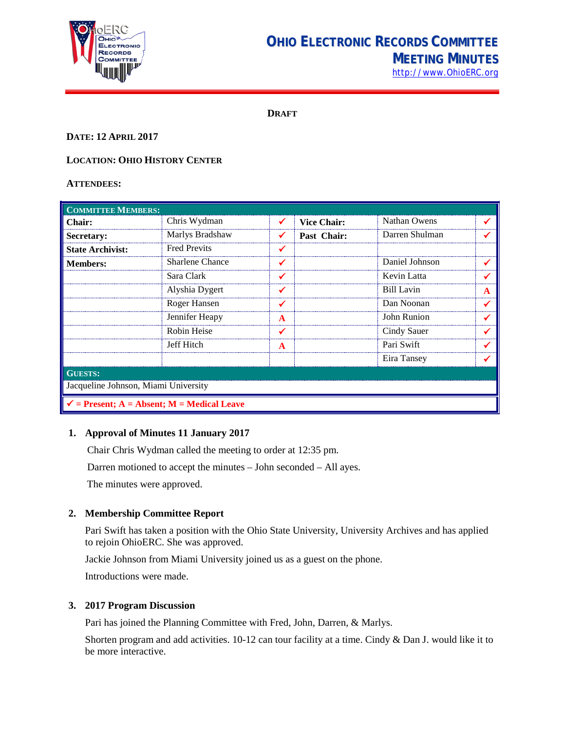

# **OHIO ELECTRONIC RECORDS COMMITTEE MEETING MINUTES**

[http://www.OhioERC.org](http://www.ohioerc.org/)

**DRAFT**

## **DATE: 12 APRIL 2017**

# **LOCATION: OHIO HISTORY CENTER**

#### **ATTENDEES:**

| <b>COMMITTEE MEMBERS:</b>                             |                        |   |                    |                |   |  |
|-------------------------------------------------------|------------------------|---|--------------------|----------------|---|--|
| <b>Chair:</b>                                         | Chris Wydman           |   | <b>Vice Chair:</b> | Nathan Owens   |   |  |
| Secretary:                                            | Marlys Bradshaw        |   | Past Chair:        | Darren Shulman |   |  |
| <b>State Archivist:</b>                               | <b>Fred Previts</b>    |   |                    |                |   |  |
| <b>Members:</b>                                       | <b>Sharlene Chance</b> |   |                    | Daniel Johnson |   |  |
|                                                       | Sara Clark             | ✔ |                    | Kevin Latta    |   |  |
|                                                       | Alyshia Dygert         |   |                    | Bill Lavin     | A |  |
|                                                       | Roger Hansen           | ✔ |                    | Dan Noonan     |   |  |
|                                                       | Jennifer Heapy         | A |                    | John Runion    |   |  |
|                                                       | Robin Heise            | ✔ |                    | Cindy Sauer    |   |  |
|                                                       | Jeff Hitch             | A |                    | Pari Swift     |   |  |
|                                                       |                        |   |                    | Eira Tansey    |   |  |
| <b>GUESTS:</b>                                        |                        |   |                    |                |   |  |
| Jacqueline Johnson, Miami University                  |                        |   |                    |                |   |  |
| $\checkmark$ = Present; A = Absent; M = Medical Leave |                        |   |                    |                |   |  |

#### **1. Approval of Minutes 11 January 2017**

Chair Chris Wydman called the meeting to order at 12:35 pm.

Darren motioned to accept the minutes – John seconded – All ayes.

The minutes were approved.

# **2. Membership Committee Report**

Pari Swift has taken a position with the Ohio State University, University Archives and has applied to rejoin OhioERC. She was approved.

Jackie Johnson from Miami University joined us as a guest on the phone.

Introductions were made.

#### **3. 2017 Program Discussion**

Pari has joined the Planning Committee with Fred, John, Darren, & Marlys.

Shorten program and add activities. 10-12 can tour facility at a time. Cindy & Dan J. would like it to be more interactive.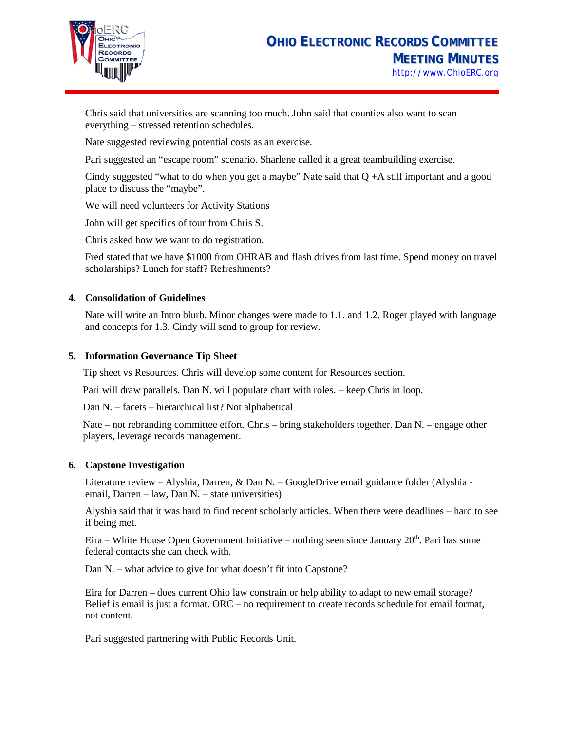

Chris said that universities are scanning too much. John said that counties also want to scan everything – stressed retention schedules.

Nate suggested reviewing potential costs as an exercise.

Pari suggested an "escape room" scenario. Sharlene called it a great teambuilding exercise.

Cindy suggested "what to do when you get a maybe" Nate said that  $Q + A$  still important and a good place to discuss the "maybe".

We will need volunteers for Activity Stations

John will get specifics of tour from Chris S.

Chris asked how we want to do registration.

Fred stated that we have \$1000 from OHRAB and flash drives from last time. Spend money on travel scholarships? Lunch for staff? Refreshments?

#### **4. Consolidation of Guidelines**

Nate will write an Intro blurb. Minor changes were made to 1.1. and 1.2. Roger played with language and concepts for 1.3. Cindy will send to group for review.

#### **5. Information Governance Tip Sheet**

Tip sheet vs Resources. Chris will develop some content for Resources section.

Pari will draw parallels. Dan N. will populate chart with roles. – keep Chris in loop.

Dan N. – facets – hierarchical list? Not alphabetical

Nate – not rebranding committee effort. Chris – bring stakeholders together. Dan N. – engage other players, leverage records management.

#### **6. Capstone Investigation**

Literature review – Alyshia, Darren, & Dan N. – GoogleDrive email guidance folder (Alyshia email, Darren – law, Dan N. – state universities)

Alyshia said that it was hard to find recent scholarly articles. When there were deadlines – hard to see if being met.

Eira – White House Open Government Initiative – nothing seen since January  $20<sup>th</sup>$ . Pari has some federal contacts she can check with.

Dan N. – what advice to give for what doesn't fit into Capstone?

Eira for Darren – does current Ohio law constrain or help ability to adapt to new email storage? Belief is email is just a format. ORC – no requirement to create records schedule for email format, not content.

Pari suggested partnering with Public Records Unit.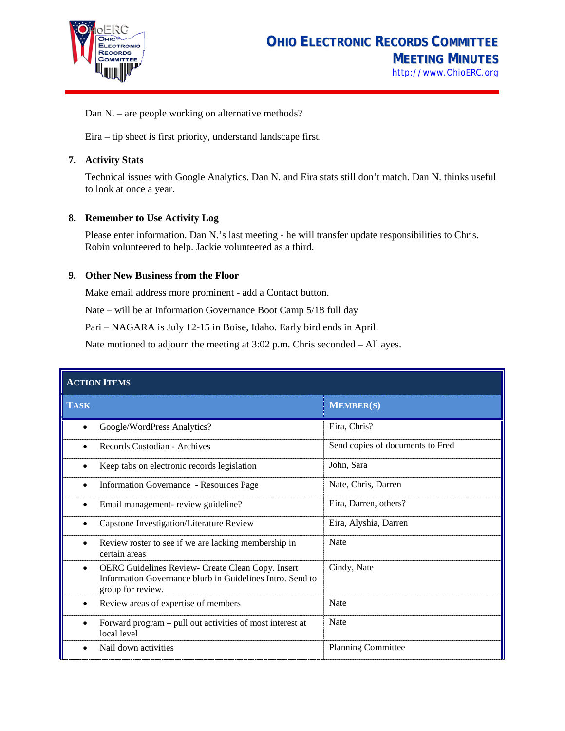

Dan N. – are people working on alternative methods?

Eira – tip sheet is first priority, understand landscape first.

#### **7. Activity Stats**

Technical issues with Google Analytics. Dan N. and Eira stats still don't match. Dan N. thinks useful to look at once a year.

## **8. Remember to Use Activity Log**

Please enter information. Dan N.'s last meeting - he will transfer update responsibilities to Chris. Robin volunteered to help. Jackie volunteered as a third.

#### **9. Other New Business from the Floor**

Make email address more prominent - add a Contact button.

Nate – will be at Information Governance Boot Camp 5/18 full day

Pari – NAGARA is July 12-15 in Boise, Idaho. Early bird ends in April.

Nate motioned to adjourn the meeting at 3:02 p.m. Chris seconded – All ayes.

| <b>ACTION ITEMS</b>                                                                                                                      |                                  |  |  |  |
|------------------------------------------------------------------------------------------------------------------------------------------|----------------------------------|--|--|--|
| <b>TASK</b>                                                                                                                              | <b>MEMBER(S)</b>                 |  |  |  |
| Google/WordPress Analytics?                                                                                                              | Eira, Chris?                     |  |  |  |
| Records Custodian - Archives                                                                                                             | Send copies of documents to Fred |  |  |  |
| Keep tabs on electronic records legislation<br>٠                                                                                         | John, Sara                       |  |  |  |
| Information Governance - Resources Page<br>٠                                                                                             | Nate, Chris, Darren              |  |  |  |
| Email management-review guideline?                                                                                                       | Eira, Darren, others?            |  |  |  |
| Capstone Investigation/Literature Review                                                                                                 | Eira, Alyshia, Darren            |  |  |  |
| Review roster to see if we are lacking membership in<br>certain areas                                                                    | <b>Nate</b>                      |  |  |  |
| OERC Guidelines Review- Create Clean Copy. Insert<br>٠<br>Information Governance blurb in Guidelines Intro. Send to<br>group for review. | Cindy, Nate                      |  |  |  |
| Review areas of expertise of members                                                                                                     | <b>Nate</b>                      |  |  |  |
| Forward program – pull out activities of most interest at<br>local level                                                                 | <b>Nate</b>                      |  |  |  |
| Nail down activities                                                                                                                     | <b>Planning Committee</b>        |  |  |  |